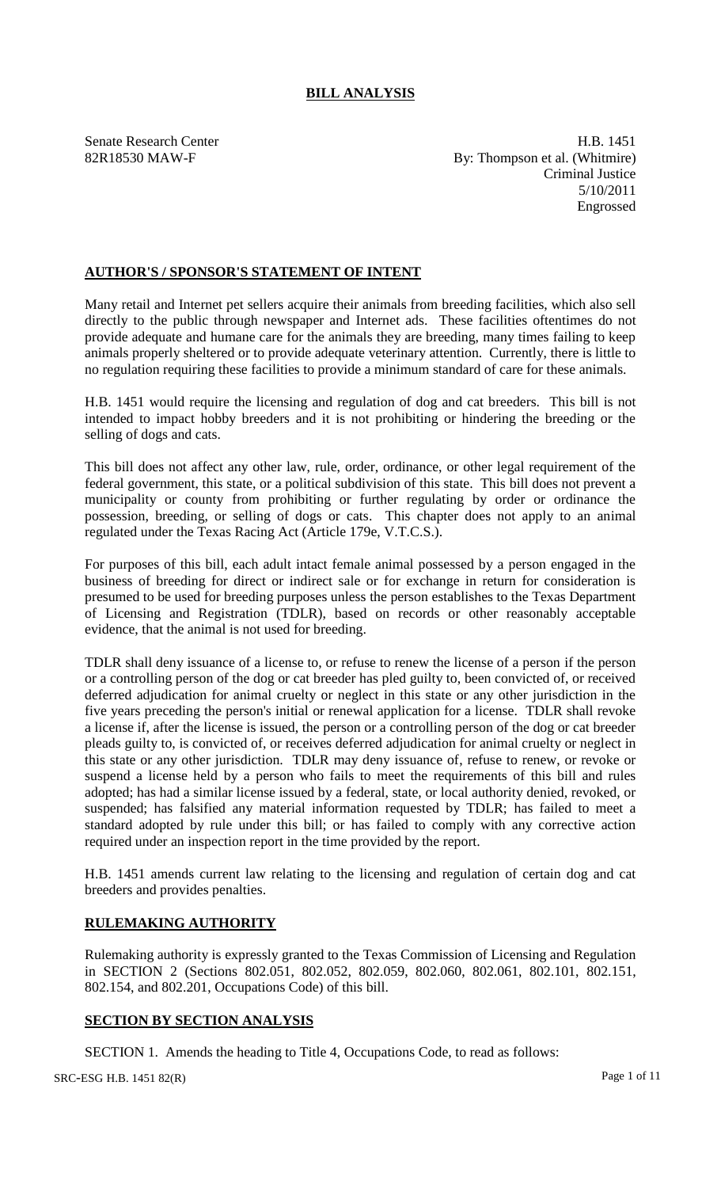# **BILL ANALYSIS**

Senate Research Center **H.B.** 1451 82R18530 MAW-F By: Thompson et al. (Whitmire) Criminal Justice 5/10/2011 Engrossed

## **AUTHOR'S / SPONSOR'S STATEMENT OF INTENT**

Many retail and Internet pet sellers acquire their animals from breeding facilities, which also sell directly to the public through newspaper and Internet ads. These facilities oftentimes do not provide adequate and humane care for the animals they are breeding, many times failing to keep animals properly sheltered or to provide adequate veterinary attention. Currently, there is little to no regulation requiring these facilities to provide a minimum standard of care for these animals.

H.B. 1451 would require the licensing and regulation of dog and cat breeders. This bill is not intended to impact hobby breeders and it is not prohibiting or hindering the breeding or the selling of dogs and cats.

This bill does not affect any other law, rule, order, ordinance, or other legal requirement of the federal government, this state, or a political subdivision of this state. This bill does not prevent a municipality or county from prohibiting or further regulating by order or ordinance the possession, breeding, or selling of dogs or cats. This chapter does not apply to an animal regulated under the Texas Racing Act (Article 179e, V.T.C.S.).

For purposes of this bill, each adult intact female animal possessed by a person engaged in the business of breeding for direct or indirect sale or for exchange in return for consideration is presumed to be used for breeding purposes unless the person establishes to the Texas Department of Licensing and Registration (TDLR), based on records or other reasonably acceptable evidence, that the animal is not used for breeding.

TDLR shall deny issuance of a license to, or refuse to renew the license of a person if the person or a controlling person of the dog or cat breeder has pled guilty to, been convicted of, or received deferred adjudication for animal cruelty or neglect in this state or any other jurisdiction in the five years preceding the person's initial or renewal application for a license. TDLR shall revoke a license if, after the license is issued, the person or a controlling person of the dog or cat breeder pleads guilty to, is convicted of, or receives deferred adjudication for animal cruelty or neglect in this state or any other jurisdiction. TDLR may deny issuance of, refuse to renew, or revoke or suspend a license held by a person who fails to meet the requirements of this bill and rules adopted; has had a similar license issued by a federal, state, or local authority denied, revoked, or suspended; has falsified any material information requested by TDLR; has failed to meet a standard adopted by rule under this bill; or has failed to comply with any corrective action required under an inspection report in the time provided by the report.

H.B. 1451 amends current law relating to the licensing and regulation of certain dog and cat breeders and provides penalties.

# **RULEMAKING AUTHORITY**

Rulemaking authority is expressly granted to the Texas Commission of Licensing and Regulation in SECTION 2 (Sections 802.051, 802.052, 802.059, 802.060, 802.061, 802.101, 802.151, 802.154, and 802.201, Occupations Code) of this bill.

# **SECTION BY SECTION ANALYSIS**

SECTION 1. Amends the heading to Title 4, Occupations Code, to read as follows: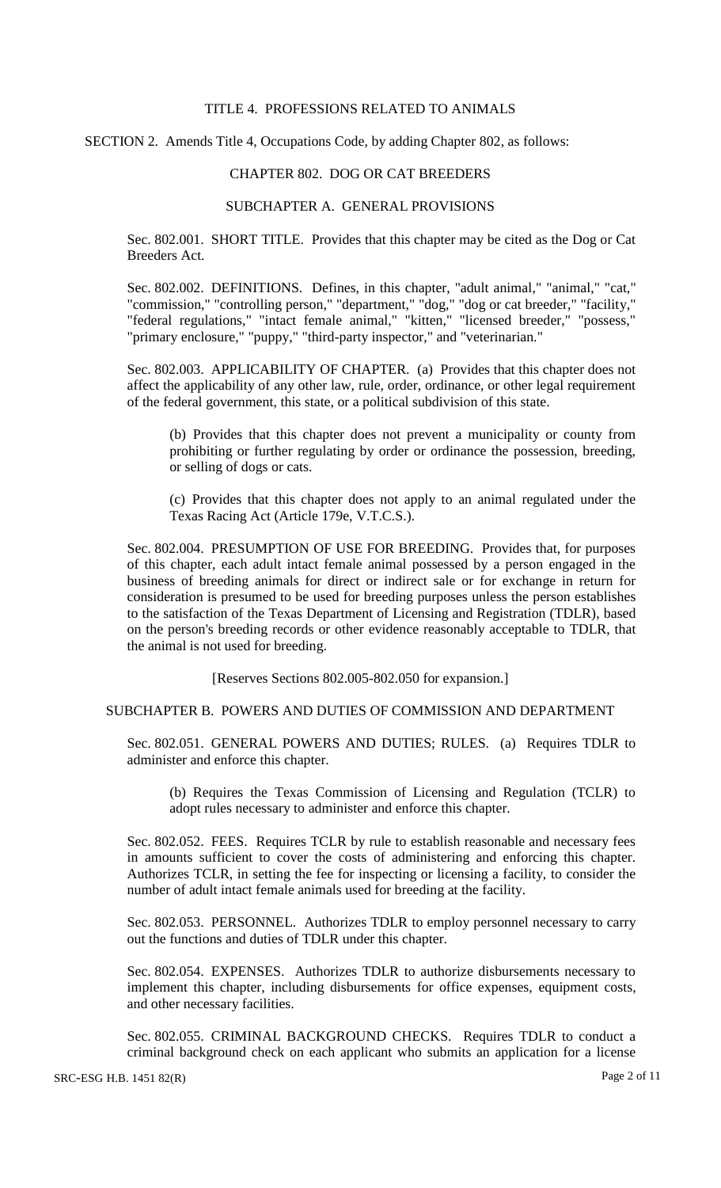### TITLE 4. PROFESSIONS RELATED TO ANIMALS

SECTION 2. Amends Title 4, Occupations Code, by adding Chapter 802, as follows:

#### CHAPTER 802. DOG OR CAT BREEDERS

#### SUBCHAPTER A. GENERAL PROVISIONS

Sec. 802.001. SHORT TITLE. Provides that this chapter may be cited as the Dog or Cat Breeders Act.

Sec. 802.002. DEFINITIONS. Defines, in this chapter, "adult animal," "animal," "cat," "commission," "controlling person," "department," "dog," "dog or cat breeder," "facility," "federal regulations," "intact female animal," "kitten," "licensed breeder," "possess," "primary enclosure," "puppy," "third-party inspector," and "veterinarian."

Sec. 802.003. APPLICABILITY OF CHAPTER. (a) Provides that this chapter does not affect the applicability of any other law, rule, order, ordinance, or other legal requirement of the federal government, this state, or a political subdivision of this state.

(b) Provides that this chapter does not prevent a municipality or county from prohibiting or further regulating by order or ordinance the possession, breeding, or selling of dogs or cats.

(c) Provides that this chapter does not apply to an animal regulated under the Texas Racing Act (Article 179e, V.T.C.S.).

Sec. 802.004. PRESUMPTION OF USE FOR BREEDING. Provides that, for purposes of this chapter, each adult intact female animal possessed by a person engaged in the business of breeding animals for direct or indirect sale or for exchange in return for consideration is presumed to be used for breeding purposes unless the person establishes to the satisfaction of the Texas Department of Licensing and Registration (TDLR), based on the person's breeding records or other evidence reasonably acceptable to TDLR, that the animal is not used for breeding.

[Reserves Sections 802.005-802.050 for expansion.]

## SUBCHAPTER B. POWERS AND DUTIES OF COMMISSION AND DEPARTMENT

Sec. 802.051. GENERAL POWERS AND DUTIES; RULES. (a) Requires TDLR to administer and enforce this chapter.

(b) Requires the Texas Commission of Licensing and Regulation (TCLR) to adopt rules necessary to administer and enforce this chapter.

Sec. 802.052. FEES. Requires TCLR by rule to establish reasonable and necessary fees in amounts sufficient to cover the costs of administering and enforcing this chapter. Authorizes TCLR, in setting the fee for inspecting or licensing a facility, to consider the number of adult intact female animals used for breeding at the facility.

Sec. 802.053. PERSONNEL. Authorizes TDLR to employ personnel necessary to carry out the functions and duties of TDLR under this chapter.

Sec. 802.054. EXPENSES. Authorizes TDLR to authorize disbursements necessary to implement this chapter, including disbursements for office expenses, equipment costs, and other necessary facilities.

Sec. 802.055. CRIMINAL BACKGROUND CHECKS. Requires TDLR to conduct a criminal background check on each applicant who submits an application for a license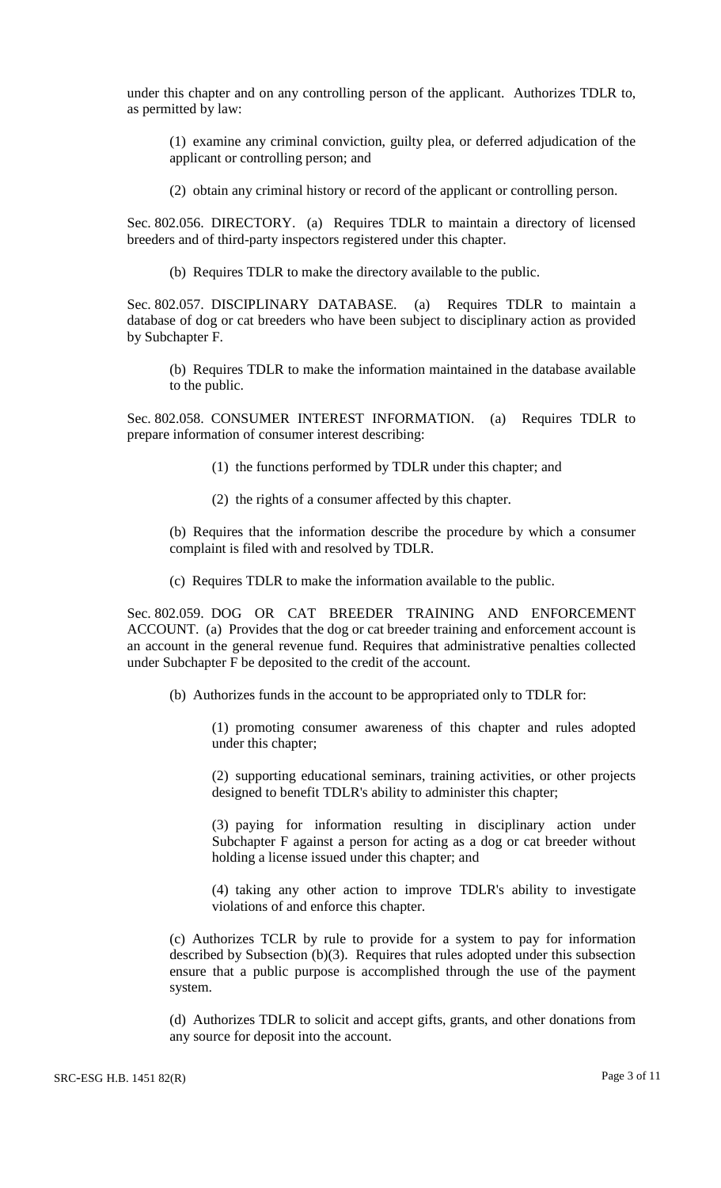under this chapter and on any controlling person of the applicant. Authorizes TDLR to, as permitted by law:

(1) examine any criminal conviction, guilty plea, or deferred adjudication of the applicant or controlling person; and

(2) obtain any criminal history or record of the applicant or controlling person.

Sec. 802.056. DIRECTORY. (a) Requires TDLR to maintain a directory of licensed breeders and of third-party inspectors registered under this chapter.

(b) Requires TDLR to make the directory available to the public.

Sec. 802.057. DISCIPLINARY DATABASE. (a) Requires TDLR to maintain a database of dog or cat breeders who have been subject to disciplinary action as provided by Subchapter F.

(b) Requires TDLR to make the information maintained in the database available to the public.

Sec. 802.058. CONSUMER INTEREST INFORMATION. (a) Requires TDLR to prepare information of consumer interest describing:

- (1) the functions performed by TDLR under this chapter; and
- (2) the rights of a consumer affected by this chapter.

(b) Requires that the information describe the procedure by which a consumer complaint is filed with and resolved by TDLR.

(c) Requires TDLR to make the information available to the public.

Sec. 802.059. DOG OR CAT BREEDER TRAINING AND ENFORCEMENT ACCOUNT. (a) Provides that the dog or cat breeder training and enforcement account is an account in the general revenue fund. Requires that administrative penalties collected under Subchapter F be deposited to the credit of the account.

(b) Authorizes funds in the account to be appropriated only to TDLR for:

(1) promoting consumer awareness of this chapter and rules adopted under this chapter;

(2) supporting educational seminars, training activities, or other projects designed to benefit TDLR's ability to administer this chapter;

(3) paying for information resulting in disciplinary action under Subchapter F against a person for acting as a dog or cat breeder without holding a license issued under this chapter; and

(4) taking any other action to improve TDLR's ability to investigate violations of and enforce this chapter.

(c) Authorizes TCLR by rule to provide for a system to pay for information described by Subsection (b)(3). Requires that rules adopted under this subsection ensure that a public purpose is accomplished through the use of the payment system.

(d) Authorizes TDLR to solicit and accept gifts, grants, and other donations from any source for deposit into the account.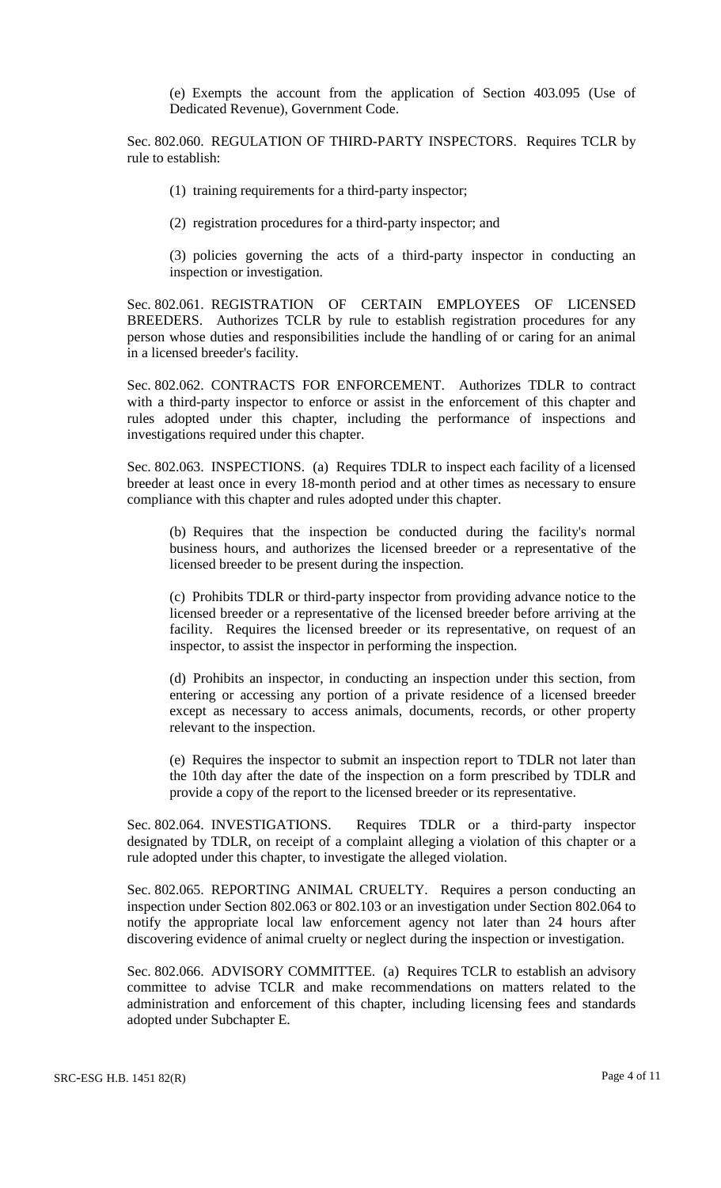(e) Exempts the account from the application of Section 403.095 (Use of Dedicated Revenue), Government Code.

Sec. 802.060. REGULATION OF THIRD-PARTY INSPECTORS. Requires TCLR by rule to establish:

(1) training requirements for a third-party inspector;

(2) registration procedures for a third-party inspector; and

(3) policies governing the acts of a third-party inspector in conducting an inspection or investigation.

Sec. 802.061. REGISTRATION OF CERTAIN EMPLOYEES OF LICENSED BREEDERS. Authorizes TCLR by rule to establish registration procedures for any person whose duties and responsibilities include the handling of or caring for an animal in a licensed breeder's facility.

Sec. 802.062. CONTRACTS FOR ENFORCEMENT. Authorizes TDLR to contract with a third-party inspector to enforce or assist in the enforcement of this chapter and rules adopted under this chapter, including the performance of inspections and investigations required under this chapter.

Sec. 802.063. INSPECTIONS. (a) Requires TDLR to inspect each facility of a licensed breeder at least once in every 18-month period and at other times as necessary to ensure compliance with this chapter and rules adopted under this chapter.

(b) Requires that the inspection be conducted during the facility's normal business hours, and authorizes the licensed breeder or a representative of the licensed breeder to be present during the inspection.

(c) Prohibits TDLR or third-party inspector from providing advance notice to the licensed breeder or a representative of the licensed breeder before arriving at the facility. Requires the licensed breeder or its representative, on request of an inspector, to assist the inspector in performing the inspection.

(d) Prohibits an inspector, in conducting an inspection under this section, from entering or accessing any portion of a private residence of a licensed breeder except as necessary to access animals, documents, records, or other property relevant to the inspection.

(e) Requires the inspector to submit an inspection report to TDLR not later than the 10th day after the date of the inspection on a form prescribed by TDLR and provide a copy of the report to the licensed breeder or its representative.

Sec. 802.064. INVESTIGATIONS. Requires TDLR or a third-party inspector designated by TDLR, on receipt of a complaint alleging a violation of this chapter or a rule adopted under this chapter, to investigate the alleged violation.

Sec. 802.065. REPORTING ANIMAL CRUELTY. Requires a person conducting an inspection under Section 802.063 or 802.103 or an investigation under Section 802.064 to notify the appropriate local law enforcement agency not later than 24 hours after discovering evidence of animal cruelty or neglect during the inspection or investigation.

Sec. 802.066. ADVISORY COMMITTEE. (a) Requires TCLR to establish an advisory committee to advise TCLR and make recommendations on matters related to the administration and enforcement of this chapter, including licensing fees and standards adopted under Subchapter E.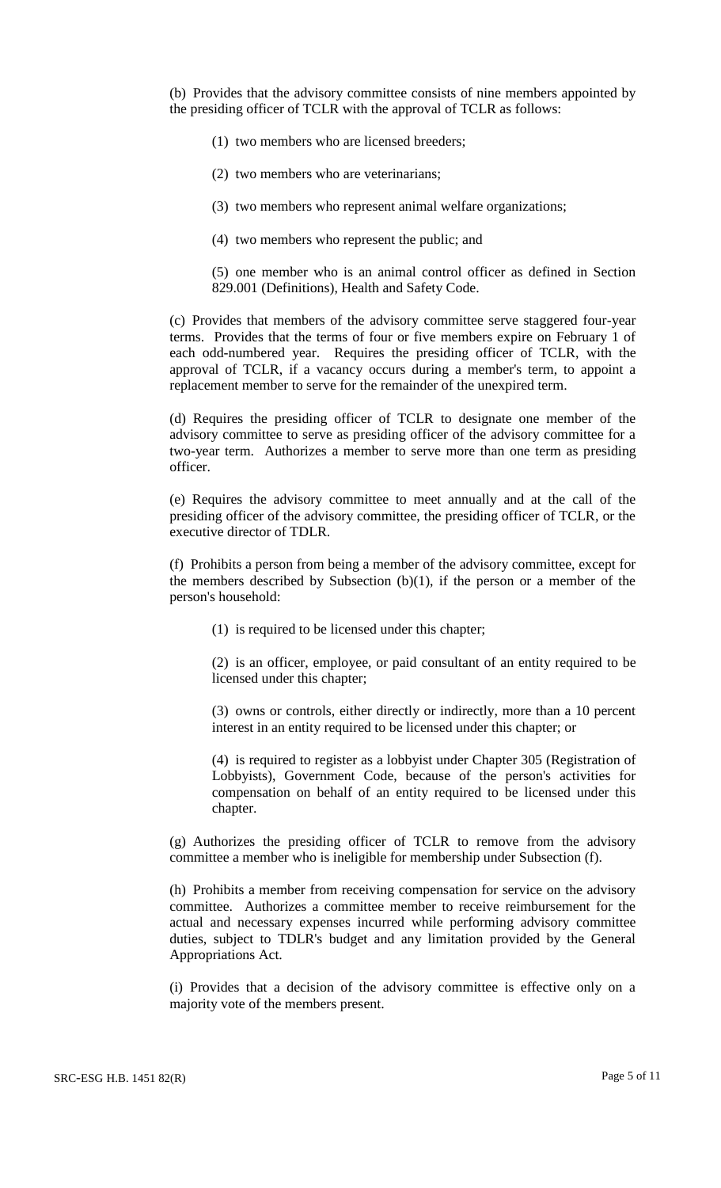(b) Provides that the advisory committee consists of nine members appointed by the presiding officer of TCLR with the approval of TCLR as follows:

- (1) two members who are licensed breeders;
- (2) two members who are veterinarians;
- (3) two members who represent animal welfare organizations;
- (4) two members who represent the public; and

(5) one member who is an animal control officer as defined in Section 829.001 (Definitions), Health and Safety Code.

(c) Provides that members of the advisory committee serve staggered four-year terms. Provides that the terms of four or five members expire on February 1 of each odd-numbered year. Requires the presiding officer of TCLR, with the approval of TCLR, if a vacancy occurs during a member's term, to appoint a replacement member to serve for the remainder of the unexpired term.

(d) Requires the presiding officer of TCLR to designate one member of the advisory committee to serve as presiding officer of the advisory committee for a two-year term. Authorizes a member to serve more than one term as presiding officer.

(e) Requires the advisory committee to meet annually and at the call of the presiding officer of the advisory committee, the presiding officer of TCLR, or the executive director of TDLR.

(f) Prohibits a person from being a member of the advisory committee, except for the members described by Subsection  $(b)(1)$ , if the person or a member of the person's household:

(1) is required to be licensed under this chapter;

(2) is an officer, employee, or paid consultant of an entity required to be licensed under this chapter;

(3) owns or controls, either directly or indirectly, more than a 10 percent interest in an entity required to be licensed under this chapter; or

(4) is required to register as a lobbyist under Chapter 305 (Registration of Lobbyists), Government Code, because of the person's activities for compensation on behalf of an entity required to be licensed under this chapter.

(g) Authorizes the presiding officer of TCLR to remove from the advisory committee a member who is ineligible for membership under Subsection (f).

(h) Prohibits a member from receiving compensation for service on the advisory committee. Authorizes a committee member to receive reimbursement for the actual and necessary expenses incurred while performing advisory committee duties, subject to TDLR's budget and any limitation provided by the General Appropriations Act.

(i) Provides that a decision of the advisory committee is effective only on a majority vote of the members present.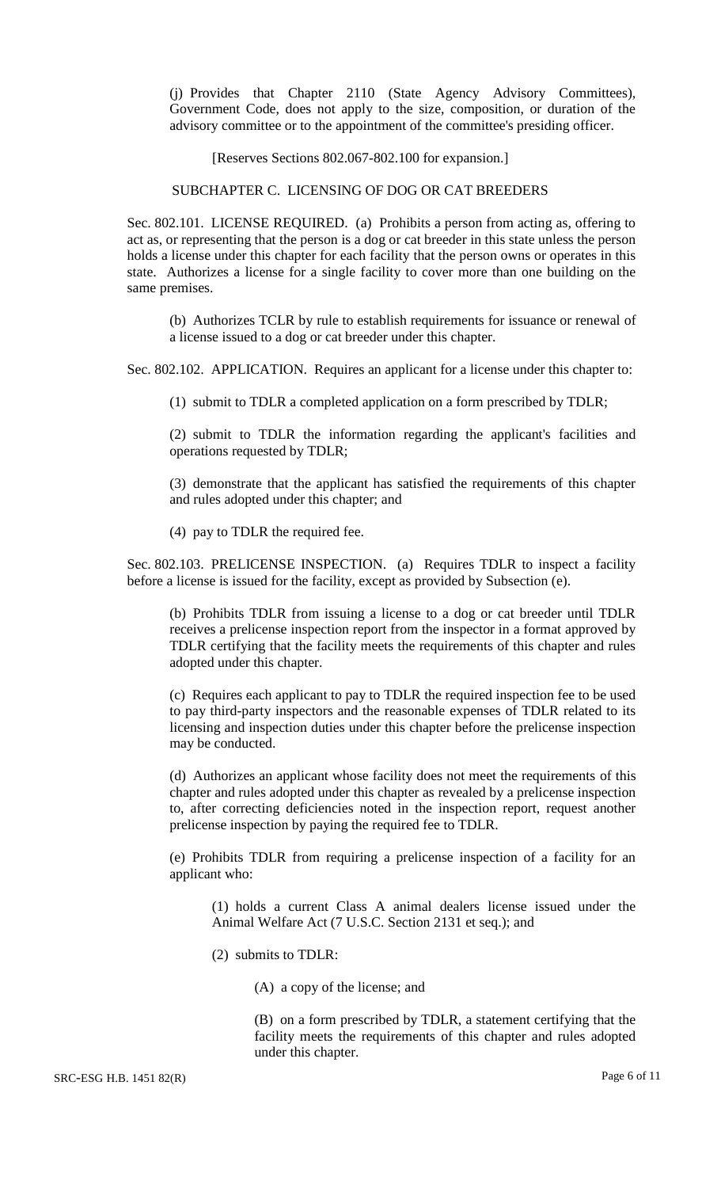(j) Provides that Chapter 2110 (State Agency Advisory Committees), Government Code, does not apply to the size, composition, or duration of the advisory committee or to the appointment of the committee's presiding officer.

[Reserves Sections 802.067-802.100 for expansion.]

#### SUBCHAPTER C. LICENSING OF DOG OR CAT BREEDERS

Sec. 802.101. LICENSE REQUIRED. (a) Prohibits a person from acting as, offering to act as, or representing that the person is a dog or cat breeder in this state unless the person holds a license under this chapter for each facility that the person owns or operates in this state. Authorizes a license for a single facility to cover more than one building on the same premises.

(b) Authorizes TCLR by rule to establish requirements for issuance or renewal of a license issued to a dog or cat breeder under this chapter.

Sec. 802.102. APPLICATION. Requires an applicant for a license under this chapter to:

(1) submit to TDLR a completed application on a form prescribed by TDLR;

(2) submit to TDLR the information regarding the applicant's facilities and operations requested by TDLR;

(3) demonstrate that the applicant has satisfied the requirements of this chapter and rules adopted under this chapter; and

(4) pay to TDLR the required fee.

Sec. 802.103. PRELICENSE INSPECTION. (a) Requires TDLR to inspect a facility before a license is issued for the facility, except as provided by Subsection (e).

(b) Prohibits TDLR from issuing a license to a dog or cat breeder until TDLR receives a prelicense inspection report from the inspector in a format approved by TDLR certifying that the facility meets the requirements of this chapter and rules adopted under this chapter.

(c) Requires each applicant to pay to TDLR the required inspection fee to be used to pay third-party inspectors and the reasonable expenses of TDLR related to its licensing and inspection duties under this chapter before the prelicense inspection may be conducted.

(d) Authorizes an applicant whose facility does not meet the requirements of this chapter and rules adopted under this chapter as revealed by a prelicense inspection to, after correcting deficiencies noted in the inspection report, request another prelicense inspection by paying the required fee to TDLR.

(e) Prohibits TDLR from requiring a prelicense inspection of a facility for an applicant who:

(1) holds a current Class A animal dealers license issued under the Animal Welfare Act (7 U.S.C. Section 2131 et seq.); and

(2) submits to TDLR:

(A) a copy of the license; and

(B) on a form prescribed by TDLR, a statement certifying that the facility meets the requirements of this chapter and rules adopted under this chapter.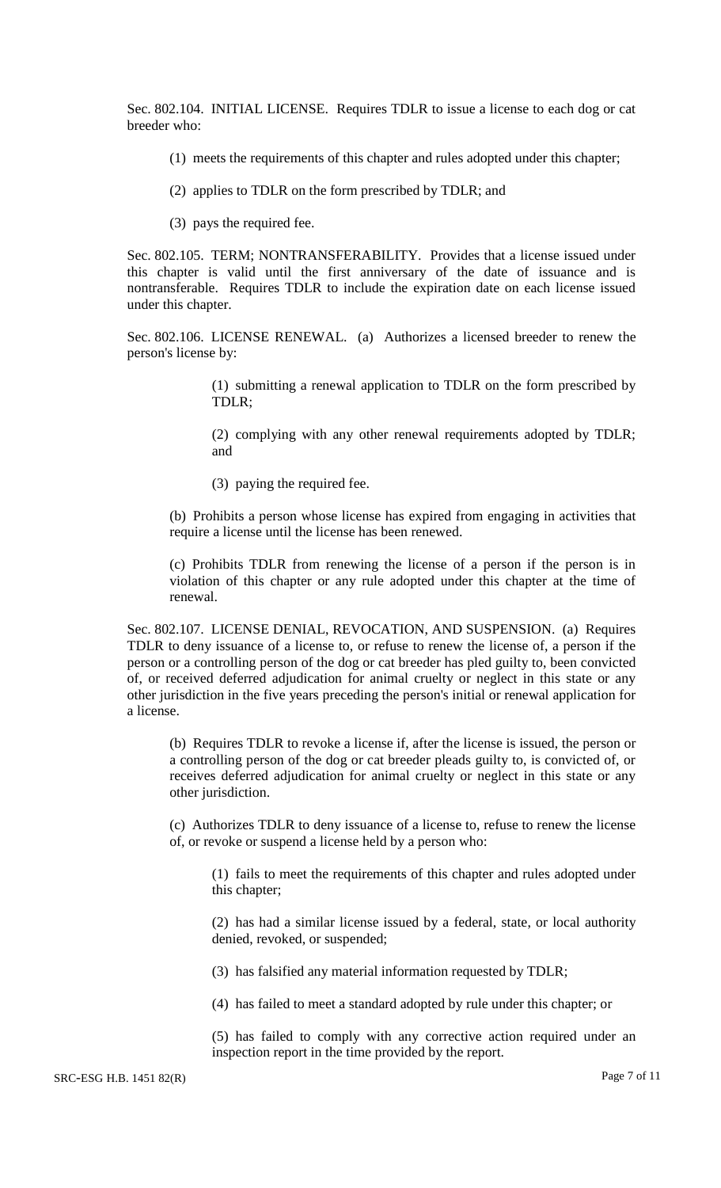Sec. 802.104. INITIAL LICENSE. Requires TDLR to issue a license to each dog or cat breeder who:

- (1) meets the requirements of this chapter and rules adopted under this chapter;
- (2) applies to TDLR on the form prescribed by TDLR; and
- (3) pays the required fee.

Sec. 802.105. TERM; NONTRANSFERABILITY. Provides that a license issued under this chapter is valid until the first anniversary of the date of issuance and is nontransferable. Requires TDLR to include the expiration date on each license issued under this chapter.

Sec. 802.106. LICENSE RENEWAL. (a) Authorizes a licensed breeder to renew the person's license by:

> (1) submitting a renewal application to TDLR on the form prescribed by TDLR;

> (2) complying with any other renewal requirements adopted by TDLR; and

(3) paying the required fee.

(b) Prohibits a person whose license has expired from engaging in activities that require a license until the license has been renewed.

(c) Prohibits TDLR from renewing the license of a person if the person is in violation of this chapter or any rule adopted under this chapter at the time of renewal.

Sec. 802.107. LICENSE DENIAL, REVOCATION, AND SUSPENSION. (a) Requires TDLR to deny issuance of a license to, or refuse to renew the license of, a person if the person or a controlling person of the dog or cat breeder has pled guilty to, been convicted of, or received deferred adjudication for animal cruelty or neglect in this state or any other jurisdiction in the five years preceding the person's initial or renewal application for a license.

(b) Requires TDLR to revoke a license if, after the license is issued, the person or a controlling person of the dog or cat breeder pleads guilty to, is convicted of, or receives deferred adjudication for animal cruelty or neglect in this state or any other jurisdiction.

(c) Authorizes TDLR to deny issuance of a license to, refuse to renew the license of, or revoke or suspend a license held by a person who:

(1) fails to meet the requirements of this chapter and rules adopted under this chapter;

(2) has had a similar license issued by a federal, state, or local authority denied, revoked, or suspended;

(3) has falsified any material information requested by TDLR;

(4) has failed to meet a standard adopted by rule under this chapter; or

(5) has failed to comply with any corrective action required under an inspection report in the time provided by the report.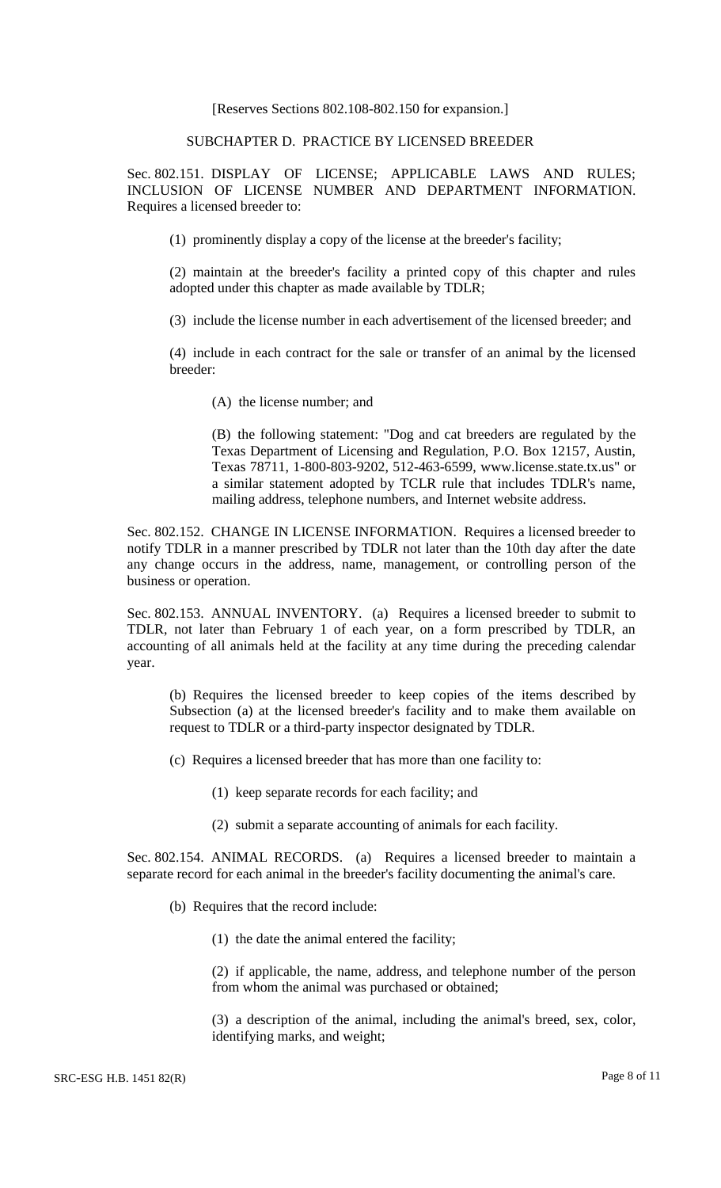[Reserves Sections 802.108-802.150 for expansion.]

### SUBCHAPTER D. PRACTICE BY LICENSED BREEDER

Sec. 802.151. DISPLAY OF LICENSE; APPLICABLE LAWS AND RULES; INCLUSION OF LICENSE NUMBER AND DEPARTMENT INFORMATION. Requires a licensed breeder to:

(1) prominently display a copy of the license at the breeder's facility;

(2) maintain at the breeder's facility a printed copy of this chapter and rules adopted under this chapter as made available by TDLR;

(3) include the license number in each advertisement of the licensed breeder; and

(4) include in each contract for the sale or transfer of an animal by the licensed breeder:

(A) the license number; and

(B) the following statement: "Dog and cat breeders are regulated by the Texas Department of Licensing and Regulation, P.O. Box 12157, Austin, Texas 78711, 1-800-803-9202, 512-463-6599, www.license.state.tx.us" or a similar statement adopted by TCLR rule that includes TDLR's name, mailing address, telephone numbers, and Internet website address.

Sec. 802.152. CHANGE IN LICENSE INFORMATION. Requires a licensed breeder to notify TDLR in a manner prescribed by TDLR not later than the 10th day after the date any change occurs in the address, name, management, or controlling person of the business or operation.

Sec. 802.153. ANNUAL INVENTORY. (a) Requires a licensed breeder to submit to TDLR, not later than February 1 of each year, on a form prescribed by TDLR, an accounting of all animals held at the facility at any time during the preceding calendar year.

(b) Requires the licensed breeder to keep copies of the items described by Subsection (a) at the licensed breeder's facility and to make them available on request to TDLR or a third-party inspector designated by TDLR.

(c) Requires a licensed breeder that has more than one facility to:

(1) keep separate records for each facility; and

(2) submit a separate accounting of animals for each facility.

Sec. 802.154. ANIMAL RECORDS. (a) Requires a licensed breeder to maintain a separate record for each animal in the breeder's facility documenting the animal's care.

(b) Requires that the record include:

(1) the date the animal entered the facility;

(2) if applicable, the name, address, and telephone number of the person from whom the animal was purchased or obtained;

(3) a description of the animal, including the animal's breed, sex, color, identifying marks, and weight;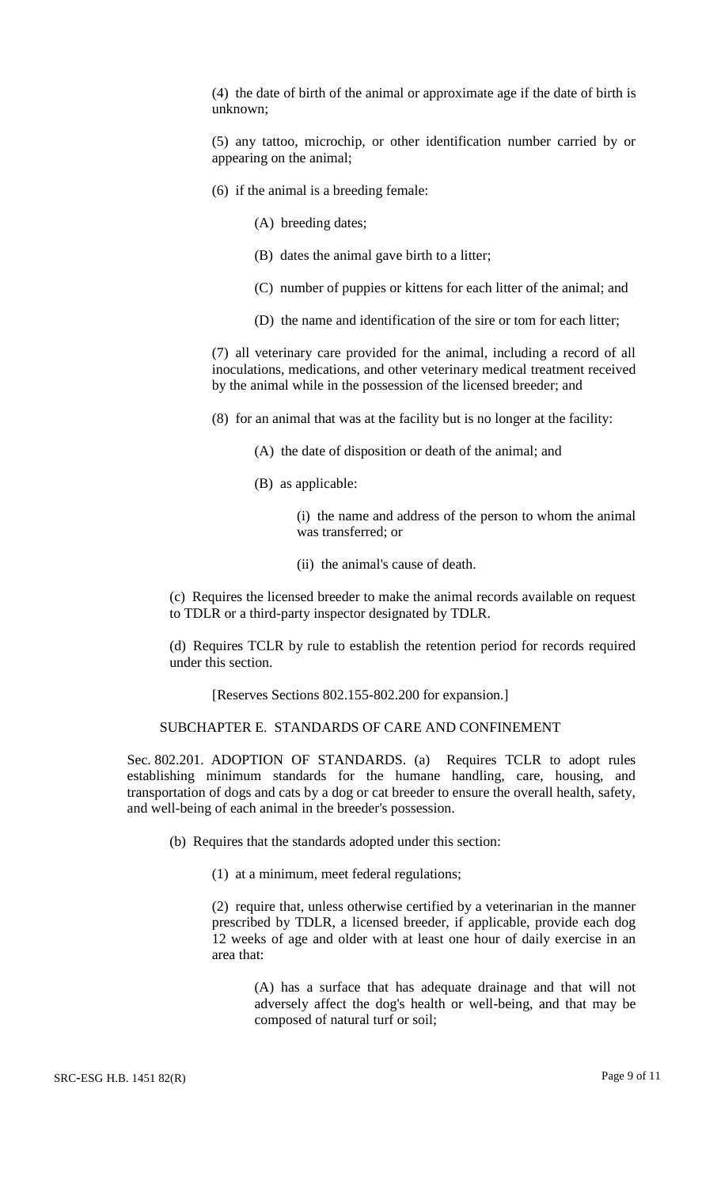(4) the date of birth of the animal or approximate age if the date of birth is unknown;

(5) any tattoo, microchip, or other identification number carried by or appearing on the animal;

- (6) if the animal is a breeding female:
	- (A) breeding dates;
	- (B) dates the animal gave birth to a litter;
	- (C) number of puppies or kittens for each litter of the animal; and
	- (D) the name and identification of the sire or tom for each litter;

(7) all veterinary care provided for the animal, including a record of all inoculations, medications, and other veterinary medical treatment received by the animal while in the possession of the licensed breeder; and

(8) for an animal that was at the facility but is no longer at the facility:

- (A) the date of disposition or death of the animal; and
- (B) as applicable:

(i) the name and address of the person to whom the animal was transferred; or

(ii) the animal's cause of death.

(c) Requires the licensed breeder to make the animal records available on request to TDLR or a third-party inspector designated by TDLR.

(d) Requires TCLR by rule to establish the retention period for records required under this section.

[Reserves Sections 802.155-802.200 for expansion.]

#### SUBCHAPTER E. STANDARDS OF CARE AND CONFINEMENT

Sec. 802.201. ADOPTION OF STANDARDS. (a) Requires TCLR to adopt rules establishing minimum standards for the humane handling, care, housing, and transportation of dogs and cats by a dog or cat breeder to ensure the overall health, safety, and well-being of each animal in the breeder's possession.

(b) Requires that the standards adopted under this section:

(1) at a minimum, meet federal regulations;

(2) require that, unless otherwise certified by a veterinarian in the manner prescribed by TDLR, a licensed breeder, if applicable, provide each dog 12 weeks of age and older with at least one hour of daily exercise in an area that:

(A) has a surface that has adequate drainage and that will not adversely affect the dog's health or well-being, and that may be composed of natural turf or soil;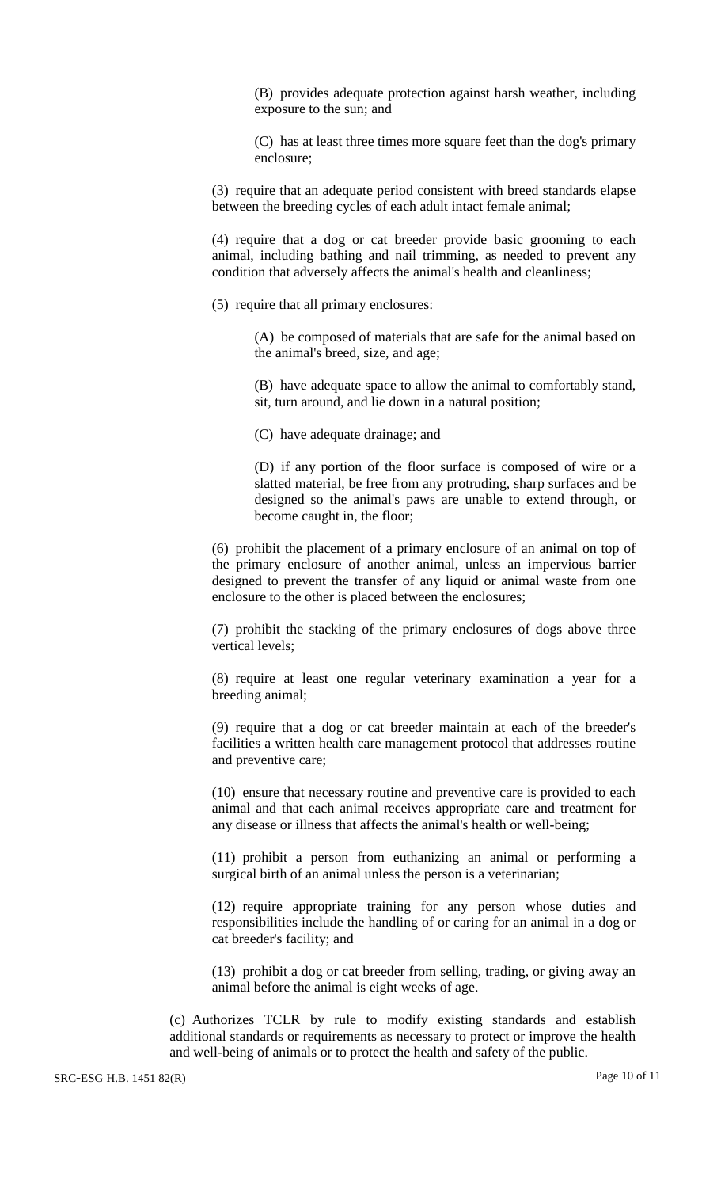(B) provides adequate protection against harsh weather, including exposure to the sun; and

(C) has at least three times more square feet than the dog's primary enclosure;

(3) require that an adequate period consistent with breed standards elapse between the breeding cycles of each adult intact female animal;

(4) require that a dog or cat breeder provide basic grooming to each animal, including bathing and nail trimming, as needed to prevent any condition that adversely affects the animal's health and cleanliness;

(5) require that all primary enclosures:

(A) be composed of materials that are safe for the animal based on the animal's breed, size, and age;

(B) have adequate space to allow the animal to comfortably stand, sit, turn around, and lie down in a natural position;

(C) have adequate drainage; and

(D) if any portion of the floor surface is composed of wire or a slatted material, be free from any protruding, sharp surfaces and be designed so the animal's paws are unable to extend through, or become caught in, the floor;

(6) prohibit the placement of a primary enclosure of an animal on top of the primary enclosure of another animal, unless an impervious barrier designed to prevent the transfer of any liquid or animal waste from one enclosure to the other is placed between the enclosures;

(7) prohibit the stacking of the primary enclosures of dogs above three vertical levels;

(8) require at least one regular veterinary examination a year for a breeding animal;

(9) require that a dog or cat breeder maintain at each of the breeder's facilities a written health care management protocol that addresses routine and preventive care;

(10) ensure that necessary routine and preventive care is provided to each animal and that each animal receives appropriate care and treatment for any disease or illness that affects the animal's health or well-being;

(11) prohibit a person from euthanizing an animal or performing a surgical birth of an animal unless the person is a veterinarian;

(12) require appropriate training for any person whose duties and responsibilities include the handling of or caring for an animal in a dog or cat breeder's facility; and

(13) prohibit a dog or cat breeder from selling, trading, or giving away an animal before the animal is eight weeks of age.

(c) Authorizes TCLR by rule to modify existing standards and establish additional standards or requirements as necessary to protect or improve the health and well-being of animals or to protect the health and safety of the public.